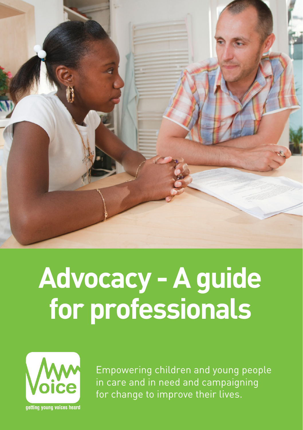

# **Advocacy - A guide for professionals**

![](_page_0_Picture_2.jpeg)

Empowering children and young people in care and in need and campaigning for change to improve their lives.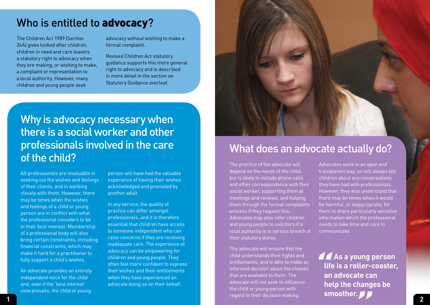#### Who is entitled to advocacy?

The Children Act 1989 (Section 26A) gives looked after children, children in need and care leavers a statutory right to advocacy when they are making, or wishing to make, a complaint or representation to a local authority. However, many children and young people seek

advocacy without wishing to make a formal complaint.

Revised Children Act statutory guidance supports this more general right to advocacy and is described in more detail in the section on Statutory Guidance overleaf.

#### Why is advocacy necessary when there is a social worker and other professionals involved in the care of the child?

All professionals are invaluable in seeking out the wishes and feelings of their clients, and in working closely with them. However, there may be times when the wishes and feelings of a child or young person are in conflict with what the professional considers to be in their best interest. Membership of a professional body will also bring certain constraints, including financial constraints, which may make it hard for a practitioner to fully support a child's wishes.

An advocate provides an entirely independent voice for the child and, even if the 'best interest' view prevails, the child or young

person will have had the valuable experience of having their wishes acknowledged and promoted by another adult.

In any service, the quality of practice can differ amongst professionals, and it is therefore essential that children have access to someone independent who can raise concerns if they are receiving inadequate care. The experience of advocacy can be empowering for children and young people. They often feel more confident to express their wishes and their entitlements when they have experienced an advocate doing so on their behalf.

![](_page_1_Picture_9.jpeg)

#### What does an advocate actually do?

The practice of the advocate will depend on the needs of the child, but is likely to include phone calls and other correspondence with their social worker, supporting them at meetings and reviews, and helping them through the formal complaints process if they request this. Advocates may also refer children and young people to solicitors if a local authority is in serious breach of their statutory duties.

**1 2** The advocate will ensure that the child understands their rights and entitlements, and is able to make an informed decision about the choices that are available to them. The advocate will not seek to influence the child or young person with regard to their decision making.

Advocates work in an open and transparent way, so will always tell children about any conversations they have had with professionals. However, they also understand that there may be times when it would be harmful, or inappropriate, for them to share particularly sensitive information which the professional needs to take time and care to communicate.

te can<br>nanges<br>**// " As a young person life is a roller-coaster, an advocate can help the changes be smoother.**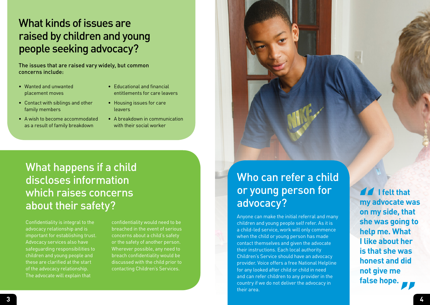#### What kinds of issues are raised by children and young people seeking advocacy?

The issues that are raised vary widely, but common concerns include:

- Wanted and unwanted placement moves
- Educational and financial entitlements for care leavers
- Contact with siblings and other family members
- A wish to become accommodated as a result of family breakdown
- Housing issues for care leavers
- A breakdown in communication with their social worker

#### What happens if a child discloses information which raises concerns about their safety?

Confidentiality is integral to the advocacy relationship and is important for establishing trust. Advocacy services also have safeguarding responsibilities to children and young people and these are clarified at the start of the advocacy relationship. The advocate will explain that

confidentiality would need to be breached in the event of serious concerns about a child's safety or the safety of another person. Wherever possible, any need to breach confidentiality would be discussed with the child prior to contacting Children's Services.

### Who can refer a child or young person for advocacy?

Anyone can make the initial referral and many children and young people self refer. As it is a child-led service, work will only commence when the child or young person has made contact themselves and given the advocate their instructions. Each local authority Children's Service should have an advocacy provider. Voice offers a free National Helpline for any looked after child or child in need and can refer children to any provider in the country if we do not deliver the advocacy in their area.

**" "I felt that my advocate was on my side, that she was going to help me. What I like about her is that she was honest and did not give me false hope.**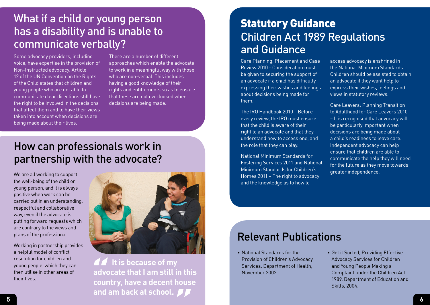#### What if a child or young person has a disability and is unable to communicate verbally?

Some advocacy providers, including Voice, have expertise in the provision of Non-Instructed advocacy. Article 12 of the UN Convention on the Rights of the Child states that children and young people who are not able to communicate clear directions still have the right to be involved in the decisions that affect them and to have their views taken into account when decisions are being made about their lives.

There are a number of different approaches which enable the advocate to work in a meaningful way with those who are non-verbal. This includes having a good knowledge of their rights and entitlements so as to ensure that these are not overlooked when decisions are being made.

#### How can professionals work in partnership with the advocate?

We are all working to support the well-being of the child or young person, and it is always positive when work can be carried out in an understanding, respectful and collaborative way, even if the advocate is putting forward requests which are contrary to the views and plans of the professional.

Working in partnership provides a helpful model of conflict resolution for children and young people, which they can then utilise in other areas of their lives.

![](_page_3_Picture_6.jpeg)

**5 6 11** It is because of my **advocate that I am still in this country, have a decent house and am back at school. "**

#### Children Act 1989 Regulations and Guidance Statutory Guidance

Care Planning, Placement and Case Review 2010 - Consideration must be given to securing the support of an advocate if a child has difficulty expressing their wishes and feelings about decisions being made for them.

The IRO Handbook 2010 – Before every review, the IRO must ensure that the child is aware of their right to an advocate and that they understand how to access one, and the role that they can play.

National Minimum Standards for Fostering Services 2011 and National Minimum Standards for Children's Homes 2011 – The right to advocacy and the knowledge as to how to

access advocacy is enshrined in the National Minimum Standards. Children should be assisted to obtain an advocate if they want help to express their wishes, feelings and views in statutory reviews.

Care Leavers: Planning Transition to Adulthood for Care Leavers 2010 – It is recognised that advocacy will be particularly important when decisions are being made about a child's readiness to leave care. Independent advocacy can help ensure that children are able to communicate the help they will need for the future as they move towards greater independence.

#### Relevant Publications

- National Standards for the Provision of Children's Advocacy Services. Department of Health, November 2002.
- Get it Sorted, Providing Effective Advocacy Services for Children and Young People Making a Complaint under the Children Act 1989. Department of Education and Skills, 2004.